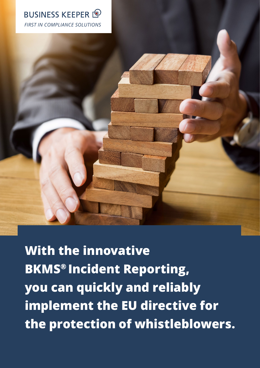

**With the innovative BKMS® Incident Reporting, you can quickly and reliably implement the EU directive for the protection of whistleblowers.**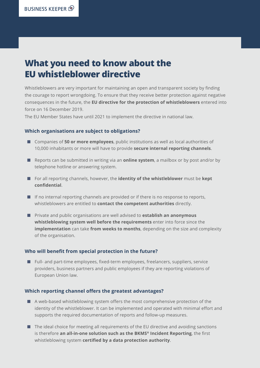## **What you need to know about the EU whistleblower directive**

Whistleblowers are very important for maintaining an open and transparent society by finding the courage to report wrongdoing. To ensure that they receive better protection against negative consequences in the future, the **EU directive for the protection of whistleblowers** entered into force on 16 December 2019.

The EU Member States have until 2021 to implement the directive in national law.

#### **Which organisations are subject to obligations?**

- Companies of 50 or more employees, public institutions as well as local authorities of 10,000 inhabitants or more will have to provide **secure internal reporting channels**.
- Reports can be submitted in writing via an **online system**, a mailbox or by post and/or by telephone hotline or answering system.
- For all reporting channels, however, the **identity of the whistleblower** must be **kept confidential**.
- If no internal reporting channels are provided or if there is no response to reports, whistleblowers are entitled to **contact the competent authorities** directly.
- Private and public organisations are well advised to **establish an anonymous whistleblowing system well before the requirements** enter into force since the **implementation** can take **from weeks to months**, depending on the size and complexity of the organisation.

#### **Who will benefit from special protection in the future?**

■ Full- and part-time employees, fixed-term employees, freelancers, suppliers, service providers, business partners and public employees if they are reporting violations of European Union law.

#### **Which reporting channel offers the greatest advantages?**

- A web-based whistleblowing system offers the most comprehensive protection of the identity of the whistleblower. It can be implemented and operated with minimal effort and supports the required documentation of reports and follow-up measures.
- The ideal choice for meeting all requirements of the EU directive and avoiding sanctions is therefore **an all-in-one solution such as the BKMS® Incident Reporting**, the first whistleblowing system **certified by a data protection authority**.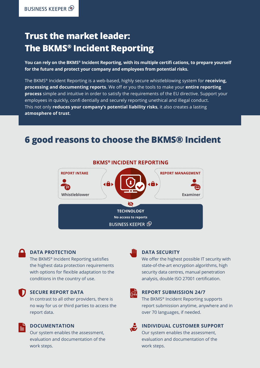# **Trust the market leader: The BKMS® Incident Reporting**

**You can rely on the BKMS® Incident Reporting, with its multiple certifi cations, to prepare yourself for the future and protect your company and employees from potential risks.**

The BKMS® Incident Reporting is a web-based, highly secure whistleblowing system for **receiving, processing and documenting reports**. We off er you the tools to make your **entire reporting process** simple and intuitive in order to satisfy the requirements of the EU directive. Support your employees in quickly, confi dentially and securely reporting unethical and illegal conduct. This not only **reduces your company's potential liability risks**, it also creates a lasting **atmosphere of trust**.

## **6 good reasons to choose the BKMS® Incident**



#### **DATA PROTECTION**

The BKMS® Incident Reporting satisfies the highest data protection requirements with options for flexible adaptation to the conditions in the country of use.

#### **SECURE REPORT DATA**

In contrast to all other providers, there is no way for us or third parties to access the report data.

#### **DOCUMENTATION**

Our system enables the assessment, evaluation and documentation of the work steps.

#### **DATA SECURITY**

We offer the highest possible IT security with state-of-the-art encryption algorithms, high security data centres, manual penetration analysis, double ISO 27001 certification.

### $\Omega$  .

#### **REPORT SUBMISSION 24/7**

The BKMS® Incident Reporting supports report submission anytime, anywhere and in over 70 languages, if needed.

### Ö,

### **INDIVIDUAL CUSTOMER SUPPORT**

Our system enables the assessment, evaluation and documentation of the work steps.